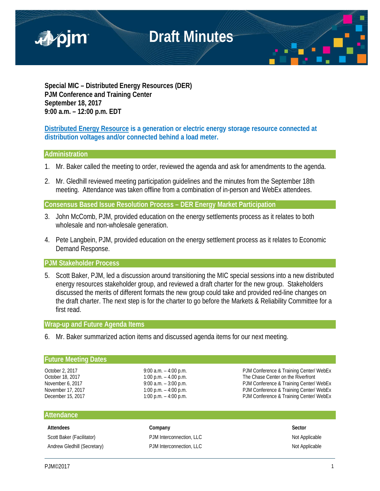

**Special MIC – Distributed Energy Resources (DER) PJM Conference and Training Center September 18, 2017 9:00 a.m. – 12:00 p.m. EDT**

**Distributed Energy Resource is a generation or electric energy storage resource connected at distribution voltages and/or connected behind a load meter.**

## **Administration**

- 1. Mr. Baker called the meeting to order, reviewed the agenda and ask for amendments to the agenda.
- 2. Mr. Gledhill reviewed meeting participation guidelines and the minutes from the September 18th meeting. Attendance was taken offline from a combination of in-person and WebEx attendees.

**Consensus Based Issue Resolution Process – DER Energy Market Participation**

- 3. John McComb, PJM, provided education on the energy settlements process as it relates to both wholesale and non-wholesale generation.
- 4. Pete Langbein, PJM, provided education on the energy settlement process as it relates to Economic Demand Response.

**PJM Stakeholder Process**

5. Scott Baker, PJM, led a discussion around transitioning the MIC special sessions into a new distributed energy resources stakeholder group, and reviewed a draft charter for the new group. Stakeholders discussed the merits of different formats the new group could take and provided red-line changes on the draft charter. The next step is for the charter to go before the Markets & Reliability Committee for a first read.

#### **Wrap-up and Future Agenda Items**

6. Mr. Baker summarized action items and discussed agenda items for our next meeting.

## **Future Meeting Dates**

October 2, 2017 <br>October 18, 2017 9:00 a.m. – 4:00 p.m. PJM Conference & Training Center/ WebEx<br>
The Chase Center on the Riverfront The Chase Center on the Riverfront November 6, 2017 **9:00 a.m.** – 3:00 p.m. PJM Conference & Training Center/ WebEx November 17, 2017 1:00 p.m. – 4:00 p.m. – 4:00 p.m.<br>December 15, 2017 1:00 p.m. – 4:00 p.m. – 4:00 p.m. PJM Conference & Training Center/ WebEx PJM Conference & Training Center/ WebEx

## **Attendance**

Scott Baker (Facilitator) **PJM Interconnection, LLC** Not Applicable Not Applicable Andrew Gledhill (Secretary) **PJM Interconnection, LLC** Not Applicable Not Applicable

**Attendees Company Sector**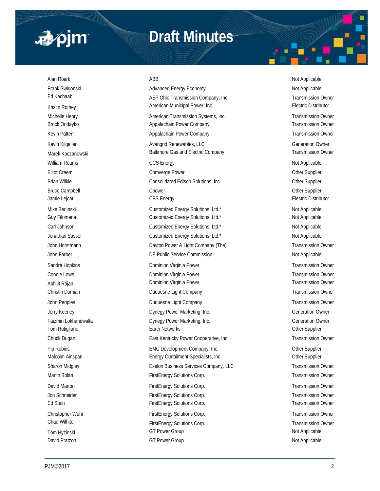

## **Draft Minutes**

Alan Roark ABB Not Applicable ABB Not Applicable ABB Not Applicable ABB Not Applicable Frank Swigonski Not Applicable Advanced Energy Economy Not Applicable Not Applicable

Ed Kachaab Transmission Company, Inc. Transmission Company, Inc. Transmission Owner Kristin Rothey **American Municipal Power, Inc.** American Municipal Power, Inc. **Electric Distributor** Michelle Henry **American Transmission Systems, Inc.** Transmission Owner Brock Ondayko **Appalachain Power Company Transmission Owner** Transmission Owner Company Transmission Owner Kevin Patten **Appalachain Power Company Company** Transmission Owner Company **Transmission Owner** Kevin Kilgallen **Avangrid Renewables, LLC Avangrid Renewables, LLC Contained Burgers** Generation Owner Marek Kaczanowski **Exercicial Company** Baltimore Gas and Electric Company Transmission Owner William Reams **CCS Energy CCS Energy CCS Energy Not Applicable** Not Applicable Elliot Creem **Comverge Power Comverge Power Community** Computer Computer Computer Community Community Community Community Community Community Community Community Community Community Community Community Community Community Brian Wilkie **Consolidated Edison Solutions, Inc** Consolidated Edison Solutions, Inc Cher Supplier Bruce Campbell **Champbell** Cpower Controllers and Controllers and Controllers of the Supplier Jamie Lejcar **CPS Energy** CPS Energy **CPS Energy** Electric Distributor **CPS** Energy Mike Berlinski **Nicholas Customized Energy Solutions**, Ltd.\* Not Applicable Not Applicable Guy Filomena **Customized Energy Solutions, Ltd.\*** Customized Energy Solutions, Ltd.\* Not Applicable Carl Johnson **National Customized Energy Solutions**, Ltd.\* Not Applicable Jonathan Sasser **Customized Energy Solutions, Ltd.\*** Not Applicable Not Applicable John Horstmann **Example 2** Dayton Power & Light Company (The) Transmission Owner John Farber **DE Public Service Commission DE Public Service Commission** Not Applicable Sandra Hopkins **Sandra Hopkins** Dominion Virginia Power **Transmission Owner** Transmission Owner Connie Lowe **Connie Lowe Dominion Virginia Power Connie Lowe Transmission Owner Connie Lowe Transmission Owner** Abhijit Rajan **Dominion Virginia Power Comminion Virginia Power** Transmission Owner Christin Domian Duquesne Light Company Transmission Owner John Peoples **Duquesne Light Company Transmission Owner** Transmission Owner Jerry Keeney Dynegy Power Marketing, Inc. Generation Owner Faizmin Lokhandwalla **Dynegy Power Marketing, Inc.** Characteria Dynegy Power Marketing, Inc. Commercial Commercial Commercial Owner Tom Rutigliano **Earth Networks** Earth Networks **Channel Communist Communist Channel Communist Channel Channel Channel Channel Channel Channel Channel Channel Channel Channel Channel Channel Channel Channel Channel Channel** Chuck Dugan **East Kentucky Power Cooperative, Inc.** Transmission Owner Cooperative, Inc. Pip Robins **EMC Development Company, Inc.** Company, Inc. Company, Inc. Other Supplier Malcolm Ainspan **Energy Curtailment Specialists, Inc.** Chronic Communisty Communisty Communisty Communisty Communisty Communisty Communisty Communisty Communisty Communisty Communisty Communisty Communisty Communisty Commu Sharon Midgley **Exelon Business Services Company, LLC** Transmission Owner Martin Bolan **FirstEnergy Solutions Corp.** Transmission Owner Corp. Transmission Owner David Marton **FirstEnergy Solutions Corp.** Transmission Owner Corp. Jon Schneider **FirstEnergy Solutions Corp.** Transmission Owner Ed Stein FirstEnergy Solutions Corp. Transmission Owner FirstEnergy Solutions Corp. Christopher Wehr FirstEnergy Solutions Corp. Transmission Owner Christopher Wehr Transmission Owner Chad Wilhite **Example 20** First Energy Solutions Corp. Transmission Owner Tom Hyzinski Not Applicable GT Power Group CT Power Group David Pratzon **CT Power Group** CT Power Group CT Power Group Not Applicable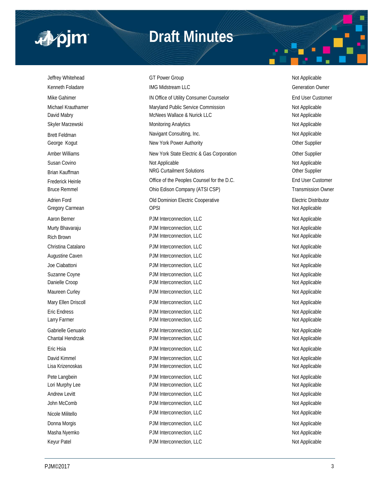

## **Draft Minutes**

Jeffrey Whitehead **GT Power Group COVID COVID-** Not Applicable Kenneth Foladare **IMG Midstream LLC** Generation Owner Mike Gahimer **IN Office of Utility Consumer Counselor** End User Customer Counselor Michael Krauthamer **Maryland Public Service Commission** Not Applicable Not Applicable David Mabry **McNees Wallace & Nurick LLC** Not Applicable Not Applicable Skyler Marzewski **Monitoring Analytics** Monitoring Analytics Not Applicable Brett Feldman Navigant Consulting, Inc. Not Applicable Not Applicable Not Applicable George Kogut **New York Power Authority New York Power Authority New York Power Authority Other Supplier** Amber Williams **New York State Electric & Gas Corporation** Cher Supplier Susan Covino **Not Applicable** Not Applicable **Not Applicable** Not Applicable Not Applicable Brian Kauffman Natur Collection Curtailment Solutions Curtailment Solutions Current Current Collections Current Current Current Current Current Current Current Current Current Current Current Current Current Current Curren Frederick Heinle **End User Customer** Office of the Peoples Counsel for the D.C. **End User Customer** Bruce Remmel **Edison Company (ATSI CSP)** Transmission Owner Adrien Ford **Adrien Ford COLO EXECUTE:** Old Dominion Electric Cooperative **Conservative** Electric Distributor Gregory Carmean **Carry Carmean** OPSI **Carry Carmean** OPSI **Not Applicable** Aaron Berner **Account 2012 12:30 PDM Interconnection, LLC** Not Applicable Not Applicable Murty Bhavaraju **Number 2018** PJM Interconnection, LLC Not Applicable Not Applicable Rich Brown Not Applicable PJM Interconnection, LLC Not Applicable Not Applicable Christina Catalano **PJM Interconnection, LLC** Not Applicable Not Applicable Augustine Caven **Augustine Caven PJM Interconnection, LLC** Not Applicable Joe Ciabattoni **Not Applicable** PJM Interconnection, LLC Not Applicable Not Applicable Suzanne Coyne **PJM Interconnection, LLC** Not Applicable Not Applicable Danielle Croop **PJM Interconnection, LLC** Not Applicable Maureen Curley **National Connection, CLC** Not Applicable Not Applicable Not Applicable Mary Ellen Driscoll **Natural PJM Interconnection, LLC** Not Applicable Not Applicable Eric Endress **PJM Interconnection, LLC** Not Applicable Larry Farmer **Not Applicable** PJM Interconnection, LLC **Not Applicable** Not Applicable Gabrielle Genuario **PJM Interconnection, LLC** and the policy of the Not Applicable Chantal Hendrzak **PJM Interconnection, LLC** Not Applicable Not Applicable Eric Hsia **PJM Interconnection, LLC** and the publicable Not Applicable David Kimmel **Example 2018** PJM Interconnection, LLC **C** and Motor Applicable Not Applicable Lisa Krizenoskas **Election** PDM Interconnection, LLC Not Applicable Not Applicable Pete Langbein **PJM Interconnection, LLC** Not Applicable Not Applicable Lori Murphy Lee **Account 2012 12:30 PDM Interconnection**, LLC **C** and Murphy Lee **PJM Interconnection**, LLC Andrew Levitt **Andrew Levitt** PJM Interconnection, LLC **Andrew Levitt** Not Applicable John McComb **PJM Interconnection, LLC** Not Applicable Not Applicable Nicole Militello **Nicole Militello** Research PJM Interconnection, LLC Not Applicable Not Applicable Donna Morgis **PJM Interconnection, LLC** Not Applicable Not Applicable Masha Nyemko **PJM Interconnection, LLC** Not Applicable Not Applicable Keyur Patel **Not Applicable** PJM Interconnection, LLC Not Applicable Not Applicable